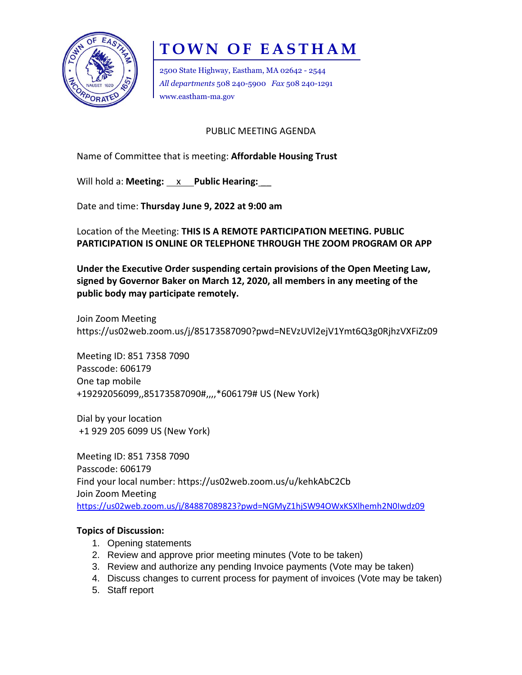

## **TOWN OF EASTHAM**

2500 State Highway, Eastham, MA 02642 - 2544 *All departments* 508 240-5900 *Fax* 508 240-1291 www.eastham-ma.gov

PUBLIC MEETING AGENDA

Name of Committee that is meeting: **Affordable Housing Trust**

Will hold a: **Meeting:** x Public Hearing:

Date and time: **Thursday June 9, 2022 at 9:00 am**

Location of the Meeting: **THIS IS A REMOTE PARTICIPATION MEETING. PUBLIC PARTICIPATION IS ONLINE OR TELEPHONE THROUGH THE ZOOM PROGRAM OR APP** 

**Under the Executive Order suspending certain provisions of the Open Meeting Law, signed by Governor Baker on March 12, 2020, all members in any meeting of the public body may participate remotely.**

Join Zoom Meeting https://us02web.zoom.us/j/85173587090?pwd=NEVzUVl2ejV1Ymt6Q3g0RjhzVXFiZz09

Meeting ID: 851 7358 7090 Passcode: 606179 One tap mobile +19292056099,,85173587090#,,,,\*606179# US (New York)

Dial by your location +1 929 205 6099 US (New York)

Meeting ID: 851 7358 7090 Passcode: 606179 Find your local number: https://us02web.zoom.us/u/kehkAbC2Cb Join Zoom Meeting <https://us02web.zoom.us/j/84887089823?pwd=NGMyZ1hjSW94OWxKSXlhemh2N0Iwdz09>

## **Topics of Discussion:**

- 1. Opening statements
- 2. Review and approve prior meeting minutes (Vote to be taken)
- 3. Review and authorize any pending Invoice payments (Vote may be taken)
- 4. Discuss changes to current process for payment of invoices (Vote may be taken)
- 5. Staff report